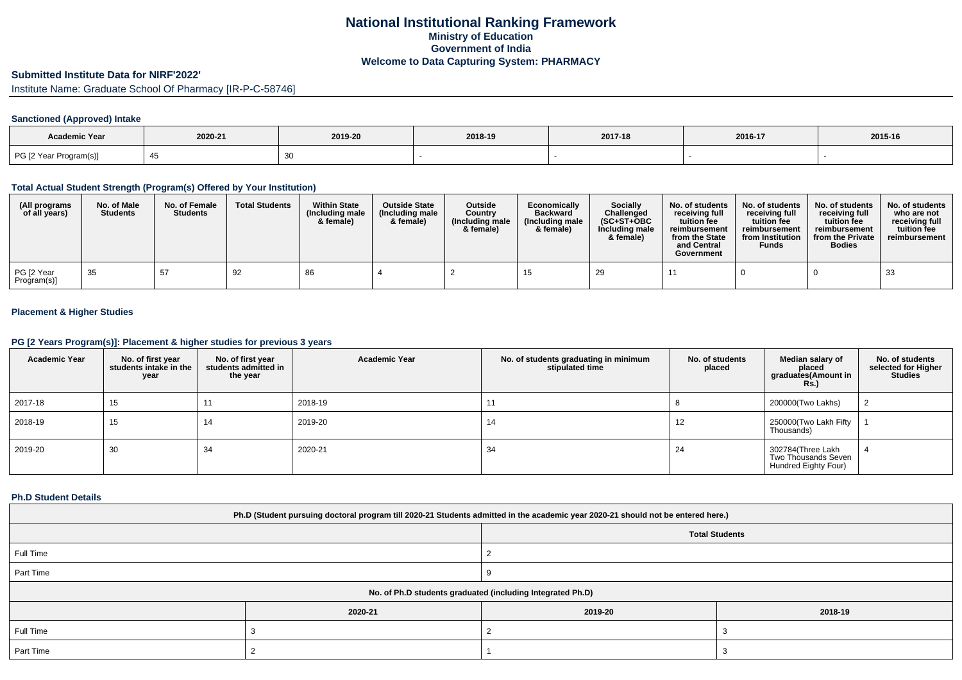# **National Institutional Ranking FrameworkMinistry of Education Government of IndiaWelcome to Data Capturing System: PHARMACY**

# **Submitted Institute Data for NIRF'2022'**

Institute Name: Graduate School Of Pharmacy [IR-P-C-58746]

### **Sanctioned (Approved) Intake**

| <b>Academic Year</b>   | 2020-21 | 2019-20 | 2018-19 | 2017-18 | 2016-17 | 2015-16 |
|------------------------|---------|---------|---------|---------|---------|---------|
| PG [2 Year Program(s)] |         |         |         |         |         |         |

#### **Total Actual Student Strength (Program(s) Offered by Your Institution)**

| (All programs<br>of all years) | No. of Male<br><b>Students</b> | No. of Female<br><b>Students</b> | <b>Total Students</b> | <b>Within State</b><br>(Including male<br>& female) | <b>Outside State</b><br>(Including male<br>& female) | <b>Outside</b><br>Country<br>(Including male<br>& female) | Economically<br><b>Backward</b><br>(Including male<br>& female) | Socially<br>Challenged<br>$(SC+ST+OBC)$<br>Including male<br>& female) | No. of students<br>receiving full<br>tuition fee<br>reimbursement<br>from the State<br>and Central<br>Government | No. of students<br>receiving full<br>tuition fee<br>reimbursement<br>from Institution<br><b>Funds</b> | No. of students<br>receiving full<br>tuition fee<br>reimbursement<br>from the Private<br><b>Bodies</b> | No. of students<br>who are not<br>receiving full<br>tuition fee<br>reimbursement |
|--------------------------------|--------------------------------|----------------------------------|-----------------------|-----------------------------------------------------|------------------------------------------------------|-----------------------------------------------------------|-----------------------------------------------------------------|------------------------------------------------------------------------|------------------------------------------------------------------------------------------------------------------|-------------------------------------------------------------------------------------------------------|--------------------------------------------------------------------------------------------------------|----------------------------------------------------------------------------------|
| PG [2 Year<br>Program(s)]      | 35                             | 57                               | 92                    | 86                                                  |                                                      |                                                           |                                                                 | 29                                                                     |                                                                                                                  |                                                                                                       |                                                                                                        | 33                                                                               |

### **Placement & Higher Studies**

#### **PG [2 Years Program(s)]: Placement & higher studies for previous 3 years**

| <b>Academic Year</b> | No. of first year<br>students intake in the<br>year | No. of first year<br>students admitted in<br>the year | <b>Academic Year</b> | No. of students graduating in minimum<br>stipulated time | No. of students<br>placed | Median salary of<br>placed<br>graduates(Amount in<br><b>Rs.</b> ) | No. of students<br>selected for Higher<br><b>Studies</b> |
|----------------------|-----------------------------------------------------|-------------------------------------------------------|----------------------|----------------------------------------------------------|---------------------------|-------------------------------------------------------------------|----------------------------------------------------------|
| 2017-18              | 15                                                  | 11                                                    | 2018-19              | 11                                                       |                           | 200000(Two Lakhs)                                                 |                                                          |
| 2018-19              | 15                                                  | 14                                                    | 2019-20              | 14                                                       | 12                        | 250000(Two Lakh Fifty<br>Thousands)                               |                                                          |
| 2019-20              | 30                                                  | 34                                                    | 2020-21              | 34                                                       | 24                        | 302784(Three Lakh<br>Two Thousands Seven<br>Hundred Eighty Four)  |                                                          |

#### **Ph.D Student Details**

| Ph.D (Student pursuing doctoral program till 2020-21 Students admitted in the academic year 2020-21 should not be entered here.) |         |                       |  |  |  |  |
|----------------------------------------------------------------------------------------------------------------------------------|---------|-----------------------|--|--|--|--|
|                                                                                                                                  |         | <b>Total Students</b> |  |  |  |  |
| Full Time                                                                                                                        |         |                       |  |  |  |  |
| Part Time                                                                                                                        |         |                       |  |  |  |  |
| No. of Ph.D students graduated (including Integrated Ph.D)                                                                       |         |                       |  |  |  |  |
|                                                                                                                                  | 2020-21 | 2019-20               |  |  |  |  |
| Full Time                                                                                                                        |         |                       |  |  |  |  |
| Part Time                                                                                                                        |         |                       |  |  |  |  |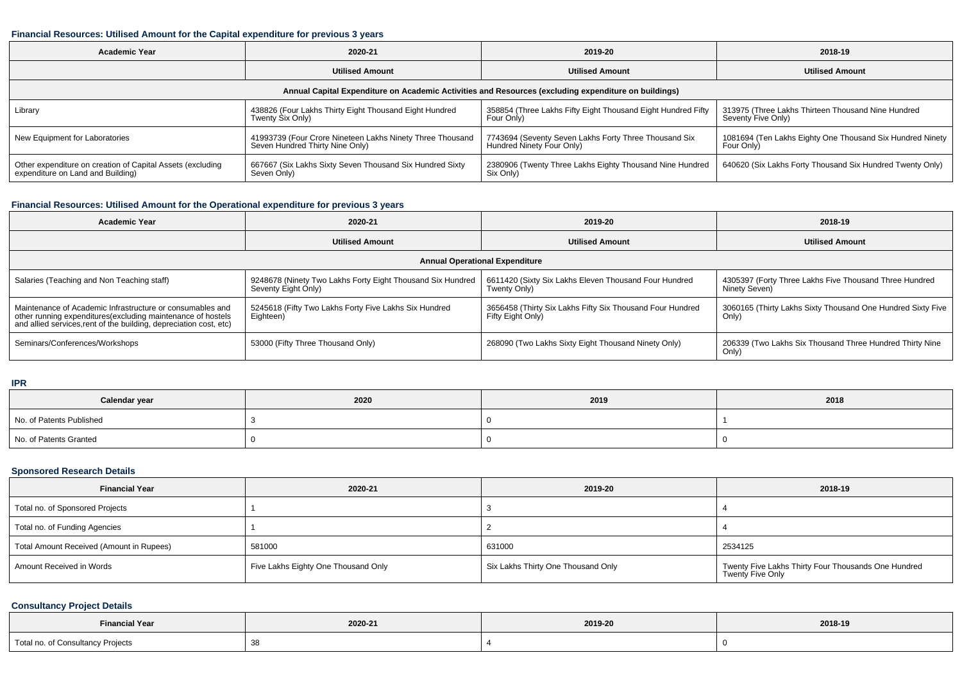#### **Financial Resources: Utilised Amount for the Capital expenditure for previous 3 years**

| Academic Year                                                                                        | 2020-21                                                   | 2019-20                                                      | 2018-19                                                   |  |  |  |  |  |
|------------------------------------------------------------------------------------------------------|-----------------------------------------------------------|--------------------------------------------------------------|-----------------------------------------------------------|--|--|--|--|--|
|                                                                                                      | <b>Utilised Amount</b>                                    | <b>Utilised Amount</b>                                       | <b>Utilised Amount</b>                                    |  |  |  |  |  |
| Annual Capital Expenditure on Academic Activities and Resources (excluding expenditure on buildings) |                                                           |                                                              |                                                           |  |  |  |  |  |
| Library                                                                                              | 438826 (Four Lakhs Thirty Eight Thousand Eight Hundred    | 358854 (Three Lakhs Fifty Eight Thousand Eight Hundred Fifty | 313975 (Three Lakhs Thirteen Thousand Nine Hundred        |  |  |  |  |  |
|                                                                                                      | Twenty Six Only)                                          | Four Only)                                                   | Seventy Five Only)                                        |  |  |  |  |  |
| New Equipment for Laboratories                                                                       | 41993739 (Four Crore Nineteen Lakhs Ninety Three Thousand | 7743694 (Seventy Seven Lakhs Forty Three Thousand Six        | 1081694 (Ten Lakhs Eighty One Thousand Six Hundred Ninety |  |  |  |  |  |
|                                                                                                      | Seven Hundred Thirty Nine Only)                           | Hundred Ninety Four Only)                                    | Four Only)                                                |  |  |  |  |  |
| Other expenditure on creation of Capital Assets (excluding                                           | 667667 (Six Lakhs Sixty Seven Thousand Six Hundred Sixty  | 2380906 (Twenty Three Lakhs Eighty Thousand Nine Hundred     | 640620 (Six Lakhs Forty Thousand Six Hundred Twenty Only) |  |  |  |  |  |
| expenditure on Land and Building)                                                                    | Seven Only)                                               | Six Only)                                                    |                                                           |  |  |  |  |  |

## **Financial Resources: Utilised Amount for the Operational expenditure for previous 3 years**

| <b>Academic Year</b>                                                                                                                                                                           | 2020-21                                                                           | 2019-20                                                                        | 2018-19                                                                 |  |  |  |  |  |
|------------------------------------------------------------------------------------------------------------------------------------------------------------------------------------------------|-----------------------------------------------------------------------------------|--------------------------------------------------------------------------------|-------------------------------------------------------------------------|--|--|--|--|--|
|                                                                                                                                                                                                | <b>Utilised Amount</b>                                                            | <b>Utilised Amount</b>                                                         | <b>Utilised Amount</b>                                                  |  |  |  |  |  |
| <b>Annual Operational Expenditure</b>                                                                                                                                                          |                                                                                   |                                                                                |                                                                         |  |  |  |  |  |
| Salaries (Teaching and Non Teaching staff)                                                                                                                                                     | 9248678 (Ninety Two Lakhs Forty Eight Thousand Six Hundred<br>Seventy Eight Only) | 6611420 (Sixty Six Lakhs Eleven Thousand Four Hundred<br>Twenty Only)          | 4305397 (Forty Three Lakhs Five Thousand Three Hundred<br>Ninety Seven) |  |  |  |  |  |
| Maintenance of Academic Infrastructure or consumables and<br>other running expenditures(excluding maintenance of hostels<br>and allied services, rent of the building, depreciation cost, etc) | 5245618 (Fifty Two Lakhs Forty Five Lakhs Six Hundred<br>Eighteen)                | 3656458 (Thirty Six Lakhs Fifty Six Thousand Four Hundred<br>Fifty Eight Only) | 3060165 (Thirty Lakhs Sixty Thousand One Hundred Sixty Five<br>Only)    |  |  |  |  |  |
| Seminars/Conferences/Workshops                                                                                                                                                                 | 53000 (Fifty Three Thousand Only)                                                 | 268090 (Two Lakhs Sixty Eight Thousand Ninety Only)                            | 206339 (Two Lakhs Six Thousand Three Hundred Thirty Nine<br>Only)       |  |  |  |  |  |

**IPR**

| Calendar year            | 2020 | 2019 | 2018 |
|--------------------------|------|------|------|
| No. of Patents Published |      |      |      |
| No. of Patents Granted   |      |      |      |

## **Sponsored Research Details**

| <b>Financial Year</b>                    | 2020-21                             | 2019-20                            | 2018-19                                                                 |
|------------------------------------------|-------------------------------------|------------------------------------|-------------------------------------------------------------------------|
| Total no. of Sponsored Projects          |                                     |                                    |                                                                         |
| Total no. of Funding Agencies            |                                     |                                    |                                                                         |
| Total Amount Received (Amount in Rupees) | 581000                              | 631000                             | 2534125                                                                 |
| Amount Received in Words                 | Five Lakhs Eighty One Thousand Only | Six Lakhs Thirty One Thousand Only | Twenty Five Lakhs Thirty Four Thousands One Hundred<br>Twenty Five Only |

### **Consultancy Project Details**

| <b>Financial Year</b>             | 2020-21 | 2019-20 | 2018-19 |  |
|-----------------------------------|---------|---------|---------|--|
| Total no. of Consultancy Projects |         |         |         |  |